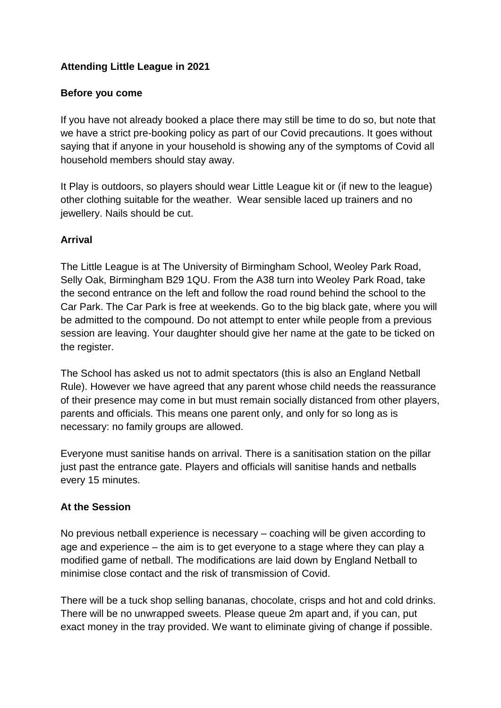# **Attending Little League in 2021**

#### **Before you come**

If you have not already booked a place there may still be time to do so, but note that we have a strict pre-booking policy as part of our Covid precautions. It goes without saying that if anyone in your household is showing any of the symptoms of Covid all household members should stay away.

It Play is outdoors, so players should wear Little League kit or (if new to the league) other clothing suitable for the weather. Wear sensible laced up trainers and no jewellery. Nails should be cut.

#### **Arrival**

The Little League is at The University of Birmingham School, Weoley Park Road, Selly Oak, Birmingham B29 1QU. From the A38 turn into Weoley Park Road, take the second entrance on the left and follow the road round behind the school to the Car Park. The Car Park is free at weekends. Go to the big black gate, where you will be admitted to the compound. Do not attempt to enter while people from a previous session are leaving. Your daughter should give her name at the gate to be ticked on the register.

The School has asked us not to admit spectators (this is also an England Netball Rule). However we have agreed that any parent whose child needs the reassurance of their presence may come in but must remain socially distanced from other players, parents and officials. This means one parent only, and only for so long as is necessary: no family groups are allowed.

Everyone must sanitise hands on arrival. There is a sanitisation station on the pillar just past the entrance gate. Players and officials will sanitise hands and netballs every 15 minutes.

#### **At the Session**

No previous netball experience is necessary – coaching will be given according to age and experience – the aim is to get everyone to a stage where they can play a modified game of netball. The modifications are laid down by England Netball to minimise close contact and the risk of transmission of Covid.

There will be a tuck shop selling bananas, chocolate, crisps and hot and cold drinks. There will be no unwrapped sweets. Please queue 2m apart and, if you can, put exact money in the tray provided. We want to eliminate giving of change if possible.